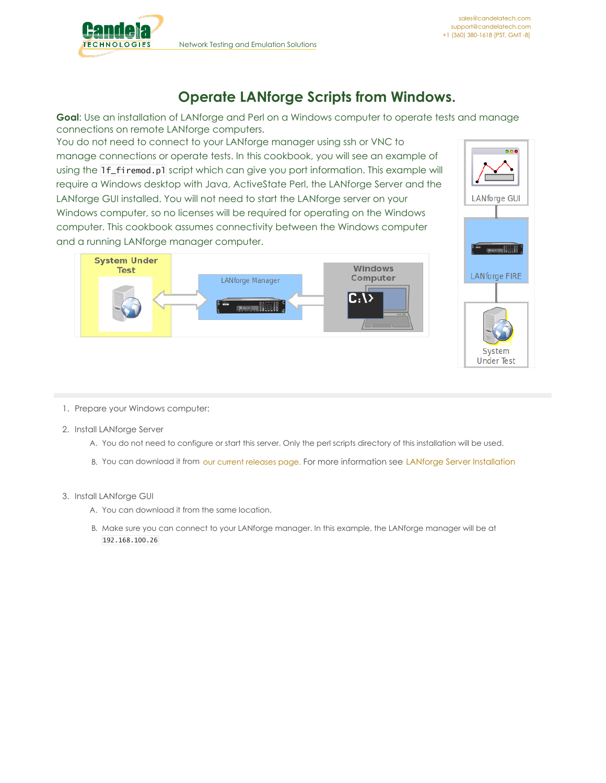

## **Operate LANforge Scripts from Windows.**

**Goal**: Use an installation of LANforge and Perl on a Windows computer to operate tests and manage connections on remote LANforge computers.

You do not need to connect to your LANforge manager using ssh or VNC to manage connections or operate tests. In this cookbook, you will see an example of using the lf\_firemod.pl script which can give you port information. This example will require a Windows desktop with Java, ActiveState Perl, the LANforge Server and the LANforge GUI installed. You will not need to start the LANforge server on your Windows computer, so no licenses will be required for operating on the Windows computer. This cookbook assumes connectivity between the Windows computer and a running LANforge manager computer.





- 1. Prepare your Windows computer:
- 2. Install LANforge Server
	- A. You do not need to configure or start this server. Only the perl scripts directory of this installation will be used.
	- B. You can download it from our current [releases](http://www.candelatech.com/downloads.php#releases) page. For more information see LANforge Server [Installation](http://www.candelatech.com/lfserver_install.php)
- 3. Install LANforge GUI
	- A. You can download it from the same location.
	- B. Make sure you can connect to your LANforge manager. In this example, the LANforge manager will be at 192.168.100.26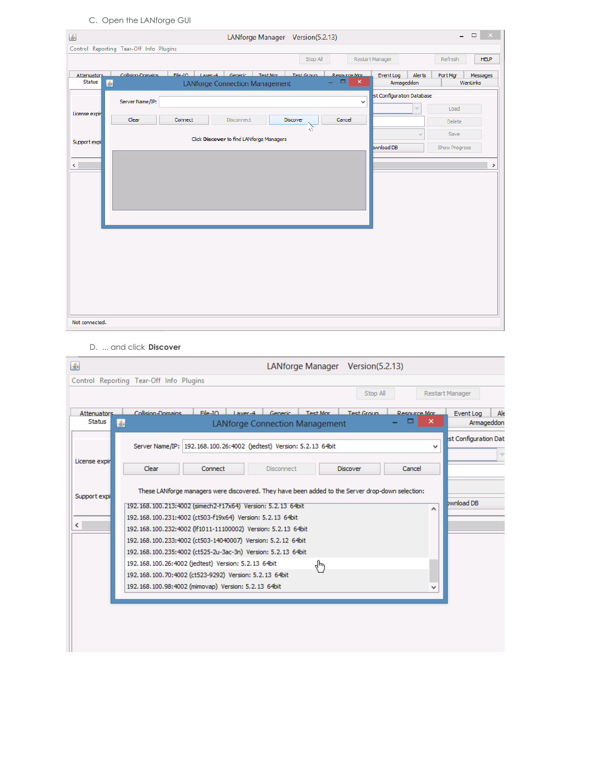C. Open the LANforge GUI

| $\frac{\ell}{2}$             |                                         | LANforge Manager Version(5.2.13)                  |                                                 |                           | $\qquad \qquad \Box$<br>$\overline{a}$<br>$\mathbf{X}$ |
|------------------------------|-----------------------------------------|---------------------------------------------------|-------------------------------------------------|---------------------------|--------------------------------------------------------|
|                              | Control Reporting Tear-Off Info Plugins |                                                   |                                                 |                           |                                                        |
|                              |                                         |                                                   | Stop All                                        | Restart Manager           | <b>HELP</b><br>Refresh                                 |
| <b>Attenuators</b><br>Status | Collision-Domains                       | File-TO Laver-4 Generic<br>Test Group<br>Test Mar | <b>Resource Mar</b><br>$\pmb{\times}$<br>▭<br>÷ | Event Log<br>Alerts       | Port Mgr<br>Messages<br>WanLinks                       |
|                              | 圖                                       | <b>LANforge Connection Management</b>             |                                                 | Armageddon                |                                                        |
|                              | Server Name/IP:                         |                                                   | v                                               | st Configuration Database |                                                        |
| License expir                |                                         |                                                   |                                                 |                           | Load                                                   |
|                              | Clear                                   | Connect<br>Discover<br>Disconnect                 | Cancel                                          |                           | Delete                                                 |
|                              |                                         |                                                   | ੇ                                               | $\forall$                 | Save                                                   |
| Support expi                 |                                         | Click Discover to find LANforge Managers          |                                                 | bwnload DB                | Show Progress                                          |
|                              |                                         |                                                   |                                                 |                           |                                                        |
| $\left\langle \right\rangle$ |                                         |                                                   |                                                 |                           | $\rightarrow$                                          |
|                              |                                         |                                                   |                                                 |                           |                                                        |
|                              |                                         |                                                   |                                                 |                           |                                                        |
|                              |                                         |                                                   |                                                 |                           |                                                        |
|                              |                                         |                                                   |                                                 |                           |                                                        |
|                              |                                         |                                                   |                                                 |                           |                                                        |
|                              |                                         |                                                   |                                                 |                           |                                                        |
|                              |                                         |                                                   |                                                 |                           |                                                        |
|                              |                                         |                                                   |                                                 |                           |                                                        |
|                              |                                         |                                                   |                                                 |                           |                                                        |
|                              |                                         |                                                   |                                                 |                           |                                                        |
|                              |                                         |                                                   |                                                 |                           |                                                        |
|                              |                                         |                                                   |                                                 |                           |                                                        |
|                              |                                         |                                                   |                                                 |                           |                                                        |
| Not connected.               |                                         |                                                   |                                                 |                           |                                                        |

D. ... and click Discover

| 圖                     | LANforge Manager Version(5.2.13)                                                                                                                           |                                |
|-----------------------|------------------------------------------------------------------------------------------------------------------------------------------------------------|--------------------------------|
|                       | Control Reporting Tear-Off Info Plugins                                                                                                                    |                                |
|                       | Stop All                                                                                                                                                   | Restart Manager                |
| Attenuators<br>Status | $File-IO$<br>Collision-Domains<br>Laver-4 Generic<br>Test Mar<br><b>Test Group</b><br><b>Resource Mar</b><br>×<br>▬<br>圖<br>LANforge Connection Management | Ale<br>Event Log<br>Armageddon |
|                       | Server Name/IP: 192.168.100.26:4002 (jedtest) Version: 5.2.13 64bit<br>$\checkmark$                                                                        | st Configuration Dat           |
| License expir         | <b>Clear</b><br>Connect<br><b>Disconnect</b><br><b>Discover</b><br>Cancel                                                                                  |                                |
| Support expi          | These LANforge managers were discovered. They have been added to the Server drop-down selection:                                                           |                                |
|                       | 192, 168, 100, 213; 4002 (simech 2-117x64) Version: 5, 2, 13 64bit<br>٨                                                                                    | bwnload DB                     |
| $\epsilon$            | 192.168.100.231:4002 (ct503-f19x64) Version: 5.2.13 64bit<br>192, 168, 100, 232; 4002 (ff1011-11100002) Version: 5, 2, 13 64bit                            |                                |
|                       | 192.168.100.233:4002 (ct503-14040007) Version: 5.2.12 64bit                                                                                                |                                |
|                       | 192.168.100.235:4002 (ct525-2u-3ac-3n) Version: 5.2.13 64bit                                                                                               |                                |
|                       | 192, 168, 100, 26: 4002 (iedtest) Version: 5, 2, 13 64bit<br>₹μ                                                                                            |                                |
|                       | 192.168.100.70:4002 (ct523-9292) Version: 5.2.13 64bit                                                                                                     |                                |
|                       | 192.168.100.98:4002 (mimovap) Version: 5.2.13 64bit<br>v                                                                                                   |                                |
|                       |                                                                                                                                                            |                                |
|                       |                                                                                                                                                            |                                |
|                       |                                                                                                                                                            |                                |
|                       |                                                                                                                                                            |                                |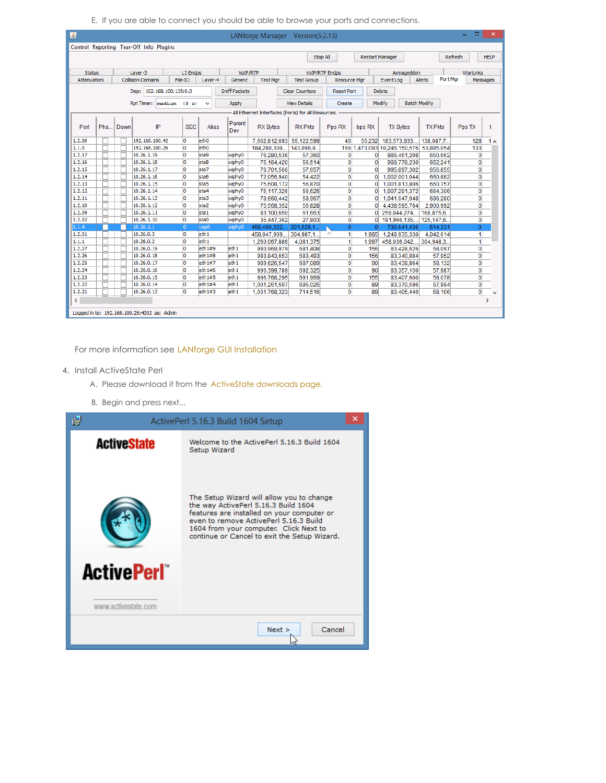E. If you are able to connect you should be able to browse your ports and connections.

| 国                  |     |      |                                             |                     |                  |                      |          |                        | LANforge Manager Version(5.2.13)                    |                       |                |                                         |                                                    |                 |                     |         |              | $\boldsymbol{\mathsf{x}}$ |              |
|--------------------|-----|------|---------------------------------------------|---------------------|------------------|----------------------|----------|------------------------|-----------------------------------------------------|-----------------------|----------------|-----------------------------------------|----------------------------------------------------|-----------------|---------------------|---------|--------------|---------------------------|--------------|
|                    |     |      | Control Reporting Tear-Off Info Plugins     |                     |                  |                      |          |                        |                                                     |                       |                |                                         |                                                    |                 |                     |         |              |                           |              |
|                    |     |      |                                             |                     |                  |                      |          |                        | Stop All                                            |                       |                | <b>Restart Manager</b>                  |                                                    |                 |                     | Refresh |              | <b>HELP</b>               |              |
|                    |     |      |                                             |                     |                  |                      |          |                        |                                                     |                       |                |                                         |                                                    |                 |                     |         |              |                           |              |
| <b>Status</b>      |     |      | Laver-3                                     | L3 Endps            |                  |                      | VoIP/RTP |                        |                                                     | <b>VoIP/RTP Endps</b> |                |                                         |                                                    | Armageddon      |                     |         | WanLinks     |                           |              |
| <b>Attenuators</b> |     |      | <b>Collision-Domains</b>                    | File-IO             | Layer-4          |                      | Generic  | <b>Test Mar</b>        | <b>Test Group</b>                                   |                       |                | <b>Resource Mgr</b>                     | Port Mar<br>Event Log<br><b>Alerts</b><br>Messages |                 |                     |         |              |                           |              |
|                    |     |      |                                             |                     |                  |                      |          |                        |                                                     |                       |                |                                         |                                                    |                 |                     |         |              |                           |              |
|                    |     |      | Disp:                                       | 192.168.100.135:0.0 |                  | <b>Sniff Packets</b> |          |                        | <b>Clear Counters</b>                               | <b>Reset Port</b>     |                | <b>Delete</b>                           |                                                    |                 |                     |         |              |                           |              |
|                    |     |      | RptTimer: medium (8 s)                      |                     | v                |                      | Apply    |                        | <b>View Details</b>                                 |                       | Create         |                                         | Modify                                             |                 | <b>Batch Modify</b> |         |              |                           |              |
|                    |     |      |                                             |                     |                  |                      |          |                        | -All Ethernet Interfaces (Ports) for all Resources. |                       |                |                                         |                                                    |                 |                     |         |              |                           |              |
|                    |     |      |                                             |                     |                  |                      | Parent   |                        |                                                     |                       |                |                                         |                                                    |                 |                     |         |              |                           |              |
| Port               | Pha | Down | IP                                          | <b>SEC</b>          | <b>Alias</b>     |                      | Dev      | <b>RX</b> Bytes        | <b>RX Pkts</b>                                      | Pps RX                |                | bps RX                                  |                                                    | <b>TX Bytes</b> | <b>TX Pkts</b>      |         | Pps TX       | ŧ                         |              |
|                    |     |      |                                             |                     |                  |                      |          |                        |                                                     |                       |                |                                         |                                                    |                 |                     |         |              |                           |              |
| 1.2.00             |     |      | 192, 168, 100, 42                           | o                   | e <sub>th0</sub> |                      |          |                        | 7,662,812,693 55,122,599                            |                       | 46             | 55.232                                  |                                                    | 183,573,933,    | 138,087.7.          |         | 128          | 1 <sub>0</sub>            |              |
| 1.1.0              |     |      | 192, 168, 100, 26                           | o                   | eth <sub>0</sub> |                      |          | 184.280.308            | 143,090.9.                                          |                       |                | 166 1.473.093 10.246.150.576 53.885.054 |                                                    |                 |                     |         | 133          |                           |              |
| 1.2.17             |     |      | 10.26.1.19                                  | lo                  | sta9             |                      | wiphy0   | 76.280.536             | 57.360                                              |                       | 0              | $\mathbf{0}$                            |                                                    | 986.461.208     | 650.662             |         | $\mathbf 0$  |                           |              |
| 1, 2, 16           |     |      | 10.26.1.18                                  | lo                  | sta8             |                      | wiphy0   | 75,164,420             | 56,514                                              |                       | 0              | $\overline{0}$                          |                                                    | 988,778,230     | 652.241             |         | 0            |                           |              |
| 1.2.15             |     |      | 10.26.1.17                                  | o                   | sta7             |                      | wiphy0   | 76.701.566             | 57.657                                              |                       | $\mathbf{0}$   | $\mathbf{0}$                            |                                                    | 995.897.302     | 656.855             |         | $\mathbf{0}$ |                           |              |
| 1, 2, 14           |     |      | 10.26.1.16                                  | O                   | sta6             |                      | wiphy0   | 72,056,940             | 54,422                                              |                       | 0              | $\Omega$                                |                                                    | 1,002,001,044   | 660,882             |         | $\mathbf{0}$ |                           |              |
| 1, 2, 13           |     |      | 10.26.1.15                                  | o                   | sta5             |                      | wiphy0   | 75,608,172             | 56,870                                              |                       | $\mathbf{0}$   | $\mathbf{0}$                            |                                                    | 1,001,813,806   | 660.757             |         | $\mathbf{0}$ |                           |              |
| 1, 2, 12           |     |      | 10.26.1.14                                  | o                   | sta4             |                      | wiphy0   | 75,117,326             | 56,525                                              |                       | $\mathbf{0}$   | $\mathbf{0}$                            |                                                    | 1,007,291,372   | 664.306             |         | $\mathbf{0}$ |                           |              |
| 1, 2, 11           |     |      | 10.26.1.13                                  | b                   | sta <sub>3</sub> |                      | wiphy0   | 78,660,442             | 58.967                                              |                       | $\mathbf{0}$   | $\Omega$                                |                                                    | 1,041,047,048   | 686,280             |         | $\mathbf{0}$ |                           |              |
| 1, 2, 10           |     |      | 10.26.1.12                                  | o                   | sta2             |                      | wiphy0   | 75,568,352             | 56.828                                              |                       | $\overline{0}$ | $\mathbf{0}$                            |                                                    | 4.438.595.764   | 2.900.992           |         | $\mathbf{0}$ |                           |              |
| 1.2.09             |     |      | 10.26.1.11                                  | lo                  | sta1             |                      | wiphy0   | 83.100.650             | 61.663                                              |                       | $\mathbf{0}$   | $\Omega$                                |                                                    | 259.044.274     | 168.875.6.          |         | $\mathbf 0$  |                           |              |
| 1.2.02             |     |      | 10.26.1.10                                  | o                   | sta0             |                      | wiphy0   | 35,447,362             | 27,803                                              |                       | 0              | $\Omega$                                |                                                    | 191.966.135     | 125,147.6.          |         | $\mathbf 0$  |                           |              |
| 1.1.4              |     |      | 10.26.1.1                                   | D.                  | vap0             |                      | wiphy0   | 456.400.222 301.529.1. |                                                     |                       | $\overline{0}$ | $\Omega$                                |                                                    | 735.641.436     | 514.331             |         | $\Omega$     |                           |              |
| 1.2.01             |     |      | 10.26.0.3                                   | o                   | eth1             |                      |          | 458,047,909,           | 304,987.1.                                          | 45                    | 1              | 1.985                                   |                                                    | 1,248,935,330   | 4,042,614           |         | 1            |                           |              |
| 1.1.1              |     |      | 10.26.0.2                                   | o                   | eth1             |                      |          | 1.260.067.886          | 4.081.375                                           |                       | 1              | 1.997                                   |                                                    | 458.036.042     | 304.948.3.          |         | 1            |                           |              |
| 1, 2, 27           |     |      | 10.26.0.19                                  | lo                  | eth1#9           |                      | eth1     | 980.969.979            | 681,408                                             |                       | 0              | 156                                     |                                                    | 83,428,626      | 58.097              |         | 0            |                           |              |
| 1, 2, 26           |     |      | 10.26.0.18                                  | o                   | eth1#8           |                      | eth1     | 983,843,653            | 683,493                                             |                       | 0              | 156                                     |                                                    | 83,340,884      | 57,952              |         | 0            |                           |              |
| 1.2.25             |     |      | 10.26.0.17                                  | o                   | eth1#7           |                      | eth1     | 989.626.547            | 687.089                                             |                       | $\mathbf{0}$   | 90                                      |                                                    | 83,438,864      | 58,132              |         | 0            |                           |              |
| 1, 2, 24           |     |      | 10.26.0.16                                  | lo                  | eth1#6           |                      | eth1     | 996.399.789            | 692.325                                             |                       | 0              | 90                                      |                                                    | 83.357.150      | 57.987              |         | $\mathbf{0}$ |                           |              |
| 1, 2, 23           |     |      | 10.26.0.15                                  | O                   | eth1#5           |                      | eth1     | 996.768.295            | 691.969                                             |                       | 0              | 155                                     |                                                    | 83,407,600      | 58.078              |         | $\mathbf 0$  |                           |              |
| 1, 2, 22           |     |      | 10.26.0.14                                  | O                   | eth1#4           |                      | eth1     | 1,001,251,507          | 695.025                                             |                       | 0              | 89                                      |                                                    | 83.370.596      | 57.994              |         | $\mathbf{0}$ |                           |              |
| 1.2.21             |     |      | 10.26.0.13                                  | b                   | eth1#3           |                      | eth1     | 1,031,768,323          | 714,516                                             |                       | 0              | 89                                      |                                                    | 83,405,440      | 58,106              |         | $\mathbf 0$  |                           | $\checkmark$ |
| $\,$ $\,$          |     |      |                                             |                     |                  |                      |          |                        |                                                     |                       |                |                                         |                                                    |                 |                     |         |              | $\rightarrow$             |              |
|                    |     |      |                                             |                     |                  |                      |          |                        |                                                     |                       |                |                                         |                                                    |                 |                     |         |              |                           |              |
|                    |     |      | Logged in to: 192.168.100.26:4002 as: Admin |                     |                  |                      |          |                        |                                                     |                       |                |                                         |                                                    |                 |                     |         |              |                           |              |

For more information see LANforge GUI [Installation](http://www.candelatech.com/lfgui_install.php)

- 4. Install ActiveState Perl
	- A. Please download it from the [ActiveState](http://www.activestate.com/activeperl/downloads) downloads page.
	- B. Begin and press next...

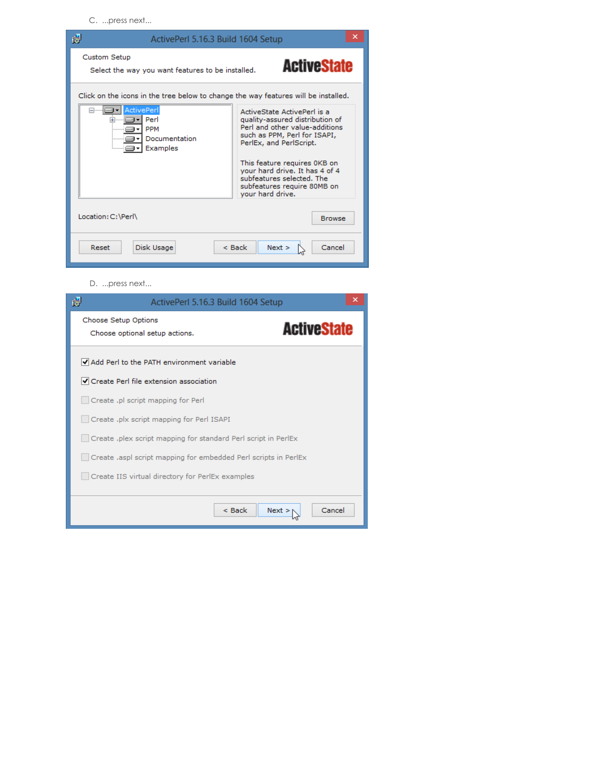C. ...press next...



D. ...press next...

| 谩<br>ActivePerl 5.16.3 Build 1604 Setup                                      | ×      |  |  |  |  |  |  |
|------------------------------------------------------------------------------|--------|--|--|--|--|--|--|
| Choose Setup Options<br><b>ActiveState</b><br>Choose optional setup actions. |        |  |  |  |  |  |  |
| Add Perl to the PATH environment variable                                    |        |  |  |  |  |  |  |
| $\blacktriangleright$ Create Perl file extension association                 |        |  |  |  |  |  |  |
| Create .pl script mapping for Perl                                           |        |  |  |  |  |  |  |
| Create .plx script mapping for Perl ISAPI                                    |        |  |  |  |  |  |  |
| Create .plex script mapping for standard Perl script in PerlEx               |        |  |  |  |  |  |  |
| Create laspl script mapping for embedded Perl scripts in PerlEx              |        |  |  |  |  |  |  |
| Create IIS virtual directory for PerlEx examples                             |        |  |  |  |  |  |  |
|                                                                              |        |  |  |  |  |  |  |
| $<$ Back<br>Next                                                             | Cancel |  |  |  |  |  |  |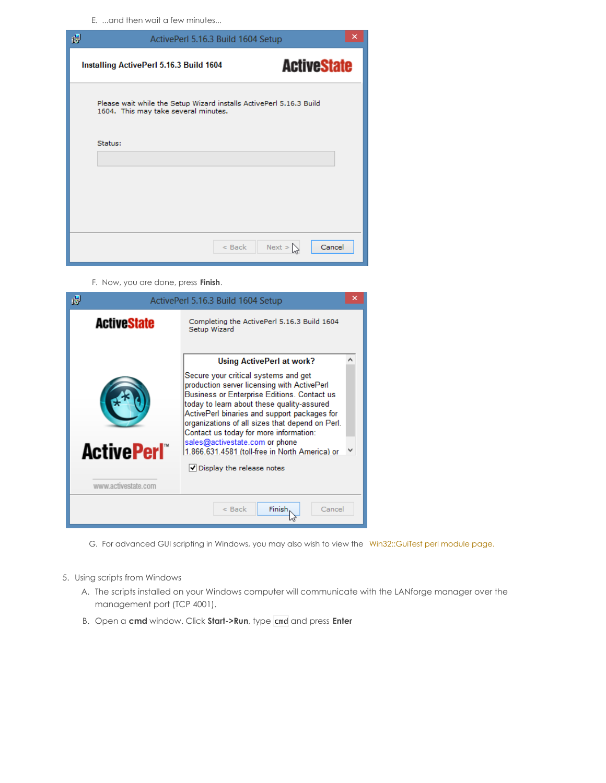E. ...and then wait a few minutes...

| 谩       | ActivePerl 5.16.3 Build 1604 Setup                                                                          | × |  |  |  |  |  |  |
|---------|-------------------------------------------------------------------------------------------------------------|---|--|--|--|--|--|--|
|         | <b>ActiveState</b><br>Installing ActivePerl 5.16.3 Build 1604                                               |   |  |  |  |  |  |  |
|         | Please wait while the Setup Wizard installs ActivePerl 5.16.3 Build<br>1604. This may take several minutes. |   |  |  |  |  |  |  |
| Status: |                                                                                                             |   |  |  |  |  |  |  |
|         |                                                                                                             |   |  |  |  |  |  |  |
|         |                                                                                                             |   |  |  |  |  |  |  |
|         | Next ><br>$<$ Back<br>Cancel                                                                                |   |  |  |  |  |  |  |

F. Now, you are done, press **Finish**.



- G. For advanced GUI scripting in Windows, you may also wish to view the [Win32::GuiTest](http://search.cpan.org/~karasik/Win32-GuiTest-1.60/lib/Win32/GuiTest.pm) perl module page.
- 5. Using scripts from Windows
	- A. The scripts installed on your Windows computer will communicate with the LANforge manager over the management port (TCP 4001).
	- B. Open a **cmd** window. Click **Start->Run**, type cmd and press **Enter**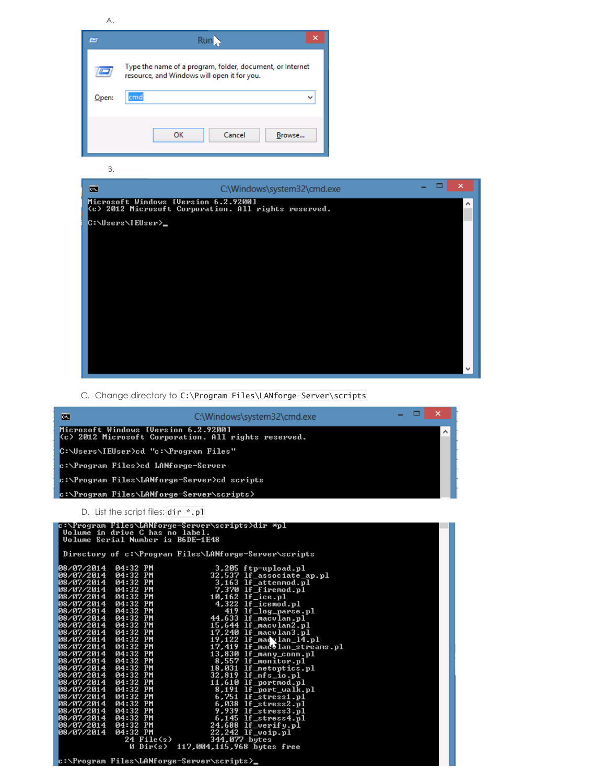A.

| F     | Run                                                                                                      |
|-------|----------------------------------------------------------------------------------------------------------|
|       | Type the name of a program, folder, document, or Internet<br>resource, and Windows will open it for you. |
| Open: | cmd                                                                                                      |
|       |                                                                                                          |
|       | Cancel<br>ок<br>Browse                                                                                   |

B.



C. Change directory to C:\Program Files\LANforge-Server\scripts



c:\Program Files\LANforge-Server\scripts<mark>></mark>

24<br>ด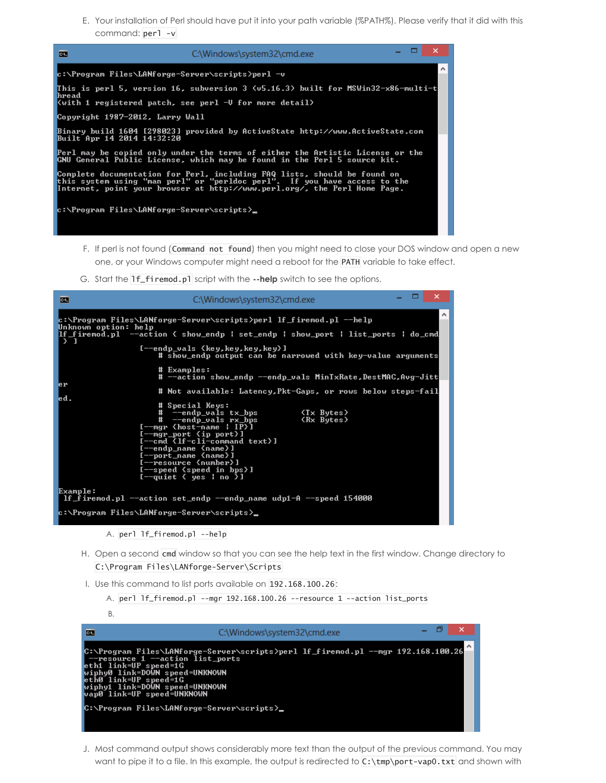E. Your installation of Perl should have put it into your path variable (%PATH%). Please verify that it did with this command: perl -v



- F. If perl is not found (Command not found) then you might need to close your DOS window and open a new one, or your Windows computer might need a reboot for the PATH variable to take effect.
- G. Start the lf\_firemod.pl script with the **--help** switch to see the options.

| 画                                       | C:\Windows\system32\cmd.exe                                                                                                                                                                                                                                                                                                                                                                                                                                                                              | ▭ | $\times$              |
|-----------------------------------------|----------------------------------------------------------------------------------------------------------------------------------------------------------------------------------------------------------------------------------------------------------------------------------------------------------------------------------------------------------------------------------------------------------------------------------------------------------------------------------------------------------|---|-----------------------|
| Unknown option: help<br>$\rightarrow$ 1 | c:\Program Files\LANforge-Server\scripts>perl                              If_firemod.pl --help<br>lf_firemod.pl  --action { show_endp   set_endp   show_port   list_ports   do_cmd <br>[--endp_vals {key,key,key,key}]<br># show_endp output can be narrowed with key-value arguments                                                                                                                                                                                                                   |   | $\boldsymbol{\wedge}$ |
| er<br>led.                              | # Examples:<br># --action show_endp --endp_vals MinTxRate,DestMAC,Avg-Jitt<br># Not available: Latency,Pkt-Gaps, or rows below steps-fail<br># Special Keys:<br># --endp_vals tx_bps<br>(Tx Butes)<br># --endp_vals rx_bps<br>(Rx Bytes)<br>$[- -mgr$ (host-name   IP>]<br>$[-$ -mgr_port $\{ip\ part\}]$<br>[--cmd {lf-cli-command text}]<br>[--endp_name {name}]<br>[--port_name {name}]<br>[--resource {number}]<br>$[- - speed \; speed \; in \; bps]$<br>$[--$ quiet $\langle$ yes ¦ no $\rangle$ ] |   |                       |
| Example:                                | If firemod.pl $-$ action set endp $-$ endp name udp1-A $-$ speed 154000<br>c:\Program Files\LANforge-Server\scripts}_                                                                                                                                                                                                                                                                                                                                                                                    |   |                       |

- H. Open a second cmd window so that you can see the help text in the first window. Change directory to C:\Program Files\LANforge-Server\Scripts
- I. Use this command to list ports available on 192.168.100.26:

```
A. perl lf_firemod.pl --mgr 192.168.100.26 --resource 1 --action list_ports
```
- B. - 8 画 C:\Windows\system32\cmd.exe C:\Program Files\LANforge-Server\scripts>perl lf\_firemod.pl --mgr 192.168.100.26<br>--resource 1 --action list\_ports<br>eth1 link=UP speed=1G<br>wiphy0 link=UP speed=UNKNOWN<br>wiphy1 link=DOWN speed=UNKNOWN<br>wiphy1 link=UP speed=UNKNO C:\Program Files\LANforge-Server\scripts}\_
- J. Most command output shows considerably more text than the output of the previous command. You may want to pipe it to a file. In this example, the output is redirected to C:\tmp\port-vap0.txt and shown with

A. perl lf\_firemod.pl --help